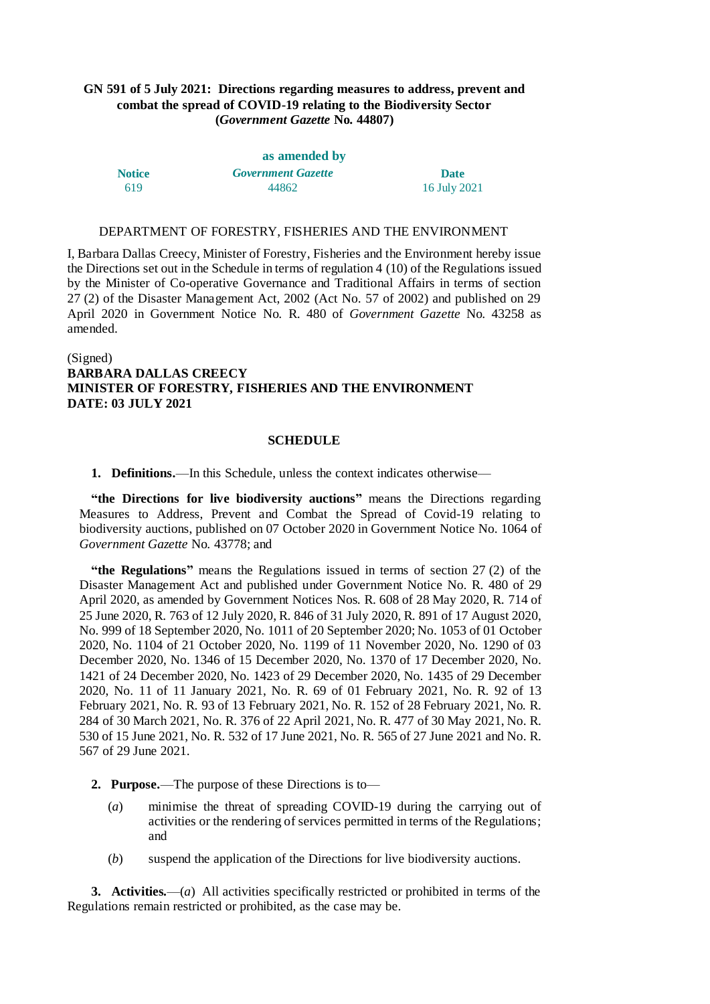## **GN 591 of 5 July 2021: Directions regarding measures to address, prevent and combat the spread of COVID-19 relating to the Biodiversity Sector (***Government Gazette* **No. 44807)**

| as amended by |                           |              |
|---------------|---------------------------|--------------|
| <b>Notice</b> | <b>Government Gazette</b> | <b>Date</b>  |
| 619           | 44862                     | 16 July 2021 |

### DEPARTMENT OF FORESTRY, FISHERIES AND THE ENVIRONMENT

I, Barbara Dallas Creecy, Minister of Forestry, Fisheries and the Environment hereby issue the Directions set out in the Schedule in terms of regulation 4 (10) of the Regulations issued by the Minister of Co-operative Governance and Traditional Affairs in terms of section 27 (2) of the Disaster Management Act, 2002 (Act No. 57 of 2002) and published on 29 April 2020 in Government Notice No. R. 480 of *Government Gazette* No. 43258 as amended.

# (Signed) **BARBARA DALLAS CREECY MINISTER OF FORESTRY, FISHERIES AND THE ENVIRONMENT DATE: 03 JULY 2021**

### **SCHEDULE**

#### **1. Definitions.**—In this Schedule, unless the context indicates otherwise—

**"the Directions for live biodiversity auctions"** means the Directions regarding Measures to Address, Prevent and Combat the Spread of Covid-19 relating to biodiversity auctions, published on 07 October 2020 in Government Notice No. 1064 of *Government Gazette* No. 43778; and

**"the Regulations"** means the Regulations issued in terms of section 27 (2) of the Disaster Management Act and published under Government Notice No. R. 480 of 29 April 2020, as amended by Government Notices Nos. R. 608 of 28 May 2020, R. 714 of 25 June 2020, R. 763 of 12 July 2020, R. 846 of 31 July 2020, R. 891 of 17 August 2020, No. 999 of 18 September 2020, No. 1011 of 20 September 2020; No. 1053 of 01 October 2020, No. 1104 of 21 October 2020, No. 1199 of 11 November 2020, No. 1290 of 03 December 2020, No. 1346 of 15 December 2020, No. 1370 of 17 December 2020, No. 1421 of 24 December 2020, No. 1423 of 29 December 2020, No. 1435 of 29 December 2020, No. 11 of 11 January 2021, No. R. 69 of 01 February 2021, No. R. 92 of 13 February 2021, No. R. 93 of 13 February 2021, No. R. 152 of 28 February 2021, No. R. 284 of 30 March 2021, No. R. 376 of 22 April 2021, No. R. 477 of 30 May 2021, No. R. 530 of 15 June 2021, No. R. 532 of 17 June 2021, No. R. 565 of 27 June 2021 and No. R. 567 of 29 June 2021.

- **2. Purpose.**—The purpose of these Directions is to—
	- (*a*) minimise the threat of spreading COVID-19 during the carrying out of activities or the rendering of services permitted in terms of the Regulations; and
	- (*b*) suspend the application of the Directions for live biodiversity auctions.

**3. Activities.**—(*a*) All activities specifically restricted or prohibited in terms of the Regulations remain restricted or prohibited, as the case may be.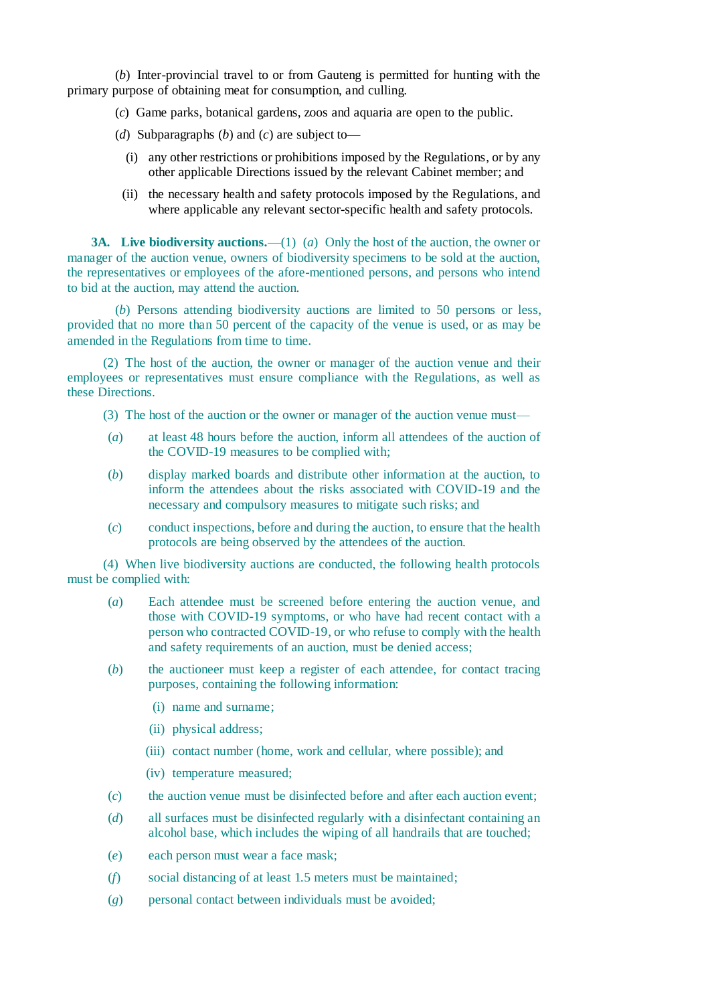(*b*) Inter-provincial travel to or from Gauteng is permitted for hunting with the primary purpose of obtaining meat for consumption, and culling.

- (*c*) Game parks, botanical gardens, zoos and aquaria are open to the public.
- (*d*) Subparagraphs (*b*) and (*c*) are subject to—
	- (i) any other restrictions or prohibitions imposed by the Regulations, or by any other applicable Directions issued by the relevant Cabinet member; and
	- (ii) the necessary health and safety protocols imposed by the Regulations, and where applicable any relevant sector-specific health and safety protocols.

**3A. Live biodiversity auctions.**—(1) (*a*) Only the host of the auction, the owner or manager of the auction venue, owners of biodiversity specimens to be sold at the auction, the representatives or employees of the afore-mentioned persons, and persons who intend to bid at the auction, may attend the auction.

(*b*) Persons attending biodiversity auctions are limited to 50 persons or less, provided that no more than 50 percent of the capacity of the venue is used, or as may be amended in the Regulations from time to time.

(2) The host of the auction, the owner or manager of the auction venue and their employees or representatives must ensure compliance with the Regulations, as well as these Directions.

(3) The host of the auction or the owner or manager of the auction venue must—

- (*a*) at least 48 hours before the auction, inform all attendees of the auction of the COVID-19 measures to be complied with;
- (*b*) display marked boards and distribute other information at the auction, to inform the attendees about the risks associated with COVID-19 and the necessary and compulsory measures to mitigate such risks; and
- (*c*) conduct inspections, before and during the auction, to ensure that the health protocols are being observed by the attendees of the auction.

(4) When live biodiversity auctions are conducted, the following health protocols must be complied with:

- (*a*) Each attendee must be screened before entering the auction venue, and those with COVID-19 symptoms, or who have had recent contact with a person who contracted COVID-19, or who refuse to comply with the health and safety requirements of an auction, must be denied access;
- (*b*) the auctioneer must keep a register of each attendee, for contact tracing purposes, containing the following information:
	- (i) name and surname;
	- (ii) physical address;
	- (iii) contact number (home, work and cellular, where possible); and
	- (iv) temperature measured;
- (*c*) the auction venue must be disinfected before and after each auction event;
- (*d*) all surfaces must be disinfected regularly with a disinfectant containing an alcohol base, which includes the wiping of all handrails that are touched;
- (*e*) each person must wear a face mask;
- (*f*) social distancing of at least 1.5 meters must be maintained;
- (*g*) personal contact between individuals must be avoided;